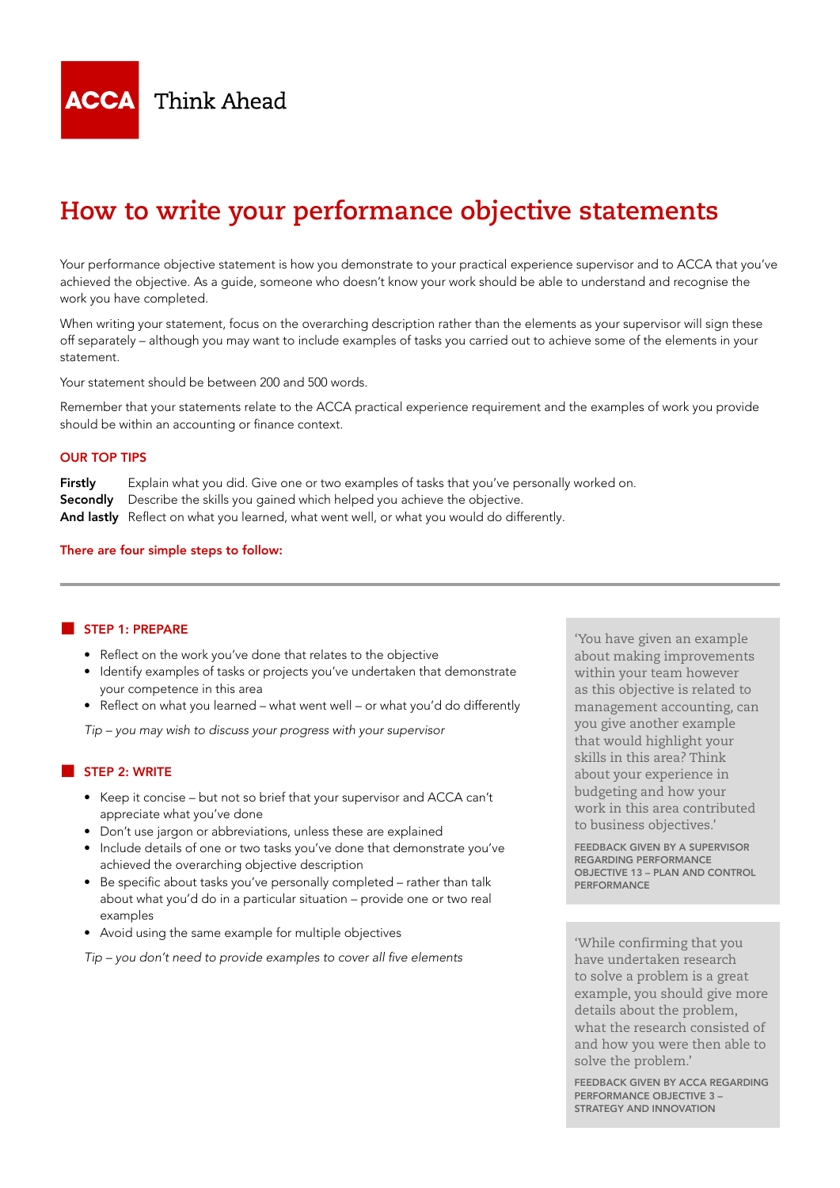

# **How to write your performance objective statements**

Your performance objective statement is how you demonstrate to your practical experience supervisor and to ACCA that you've achieved the objective. As a guide, someone who doesn't know your work should be able to understand and recognise the work you have completed.

When writing your statement, focus on the overarching description rather than the elements as your supervisor will sign these off separately – although you may want to include examples of tasks you carried out to achieve some of the elements in your statement.

Your statement should be between 200 and 500 words.

Remember that your statements relate to the ACCA practical experience requirement and the examples of work you provide should be within an accounting or finance context.

## OUR TOP TIPS

Firstly Explain what you did. Give one or two examples of tasks that you've personally worked on. Secondly Describe the skills you gained which helped you achieve the objective. And lastly Reflect on what you learned, what went well, or what you would do differently.

#### There are four simple steps to follow:

#### STEP 1: PREPARE

- Reflect on the work you've done that relates to the objective
- Identify examples of tasks or projects you've undertaken that demonstrate your competence in this area
- Reflect on what you learned what went well or what you'd do differently

*Tip – you may wish to discuss your progress with your supervisor*

### STEP 2: WRITE

- Keep it concise but not so brief that your supervisor and ACCA can't appreciate what you've done
- Don't use jargon or abbreviations, unless these are explained
- Include details of one or two tasks you've done that demonstrate you've achieved the overarching objective description
- Be specific about tasks you've personally completed rather than talk about what you'd do in a particular situation – provide one or two real examples
- Avoid using the same example for multiple objectives

Tip – you don't need to provide examples to cover all five elements

'You have given an example about making improvements within your team however as this objective is related to management accounting, can you give another example that would highlight your skills in this area? Think about your experience in budgeting and how your work in this area contributed to business objectives.'

FEEDBACK GIVEN BY A SUPERVISOR REGARDING PERFORMANCE OBJECTIVE 13 – PLAN AND CONTROL **PERFORMANCE** 

'While confirming that you have undertaken research to solve a problem is a great example, you should give more details about the problem, what the research consisted of and how you were then able to solve the problem.'

FEEDBACK GIVEN BY ACCA REGARDING PERFORMANCE OBJECTIVE 3 – STRATEGY AND INNOVATION